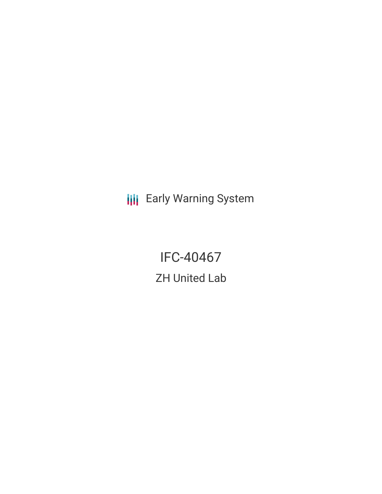**III** Early Warning System

IFC-40467 ZH United Lab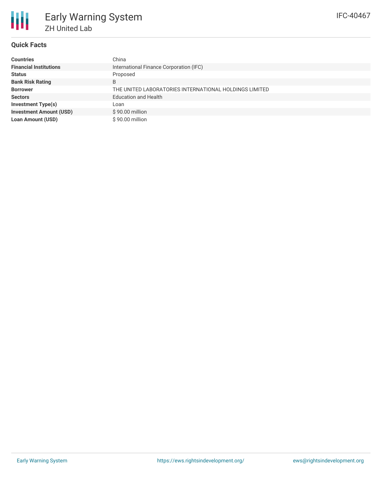# **Quick Facts**

| <b>Countries</b>               | China                                                  |  |  |  |  |
|--------------------------------|--------------------------------------------------------|--|--|--|--|
| <b>Financial Institutions</b>  | International Finance Corporation (IFC)                |  |  |  |  |
| <b>Status</b>                  | Proposed                                               |  |  |  |  |
| <b>Bank Risk Rating</b>        | B                                                      |  |  |  |  |
| <b>Borrower</b>                | THE UNITED LABORATORIES INTERNATIONAL HOLDINGS LIMITED |  |  |  |  |
| <b>Sectors</b>                 | <b>Education and Health</b>                            |  |  |  |  |
| <b>Investment Type(s)</b>      | Loan                                                   |  |  |  |  |
| <b>Investment Amount (USD)</b> | \$90.00 million                                        |  |  |  |  |
| <b>Loan Amount (USD)</b>       | \$90.00 million                                        |  |  |  |  |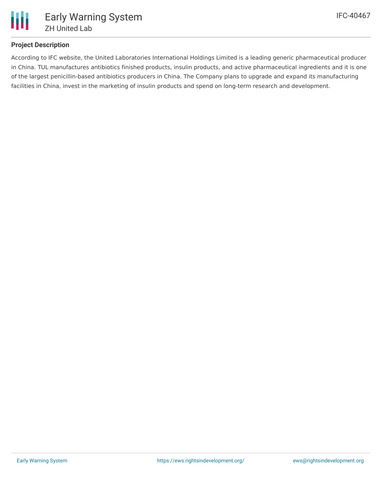

## **Project Description**

According to IFC website, the United Laboratories International Holdings Limited is a leading generic pharmaceutical producer in China. TUL manufactures antibiotics finished products, insulin products, and active pharmaceutical ingredients and it is one of the largest penicillin-based antibiotics producers in China. The Company plans to upgrade and expand its manufacturing facilities in China, invest in the marketing of insulin products and spend on long-term research and development.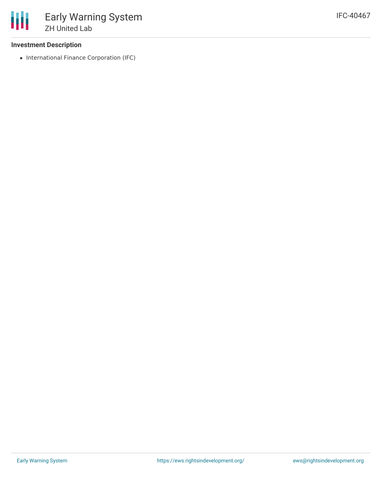### **Investment Description**

• International Finance Corporation (IFC)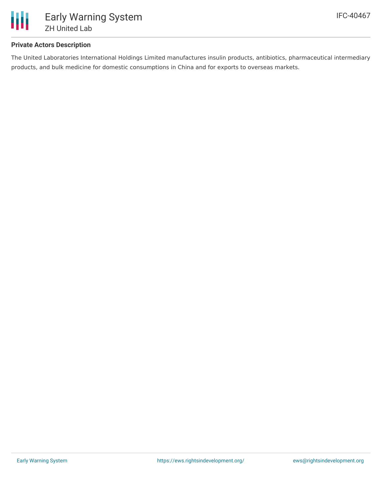

### **Private Actors Description**

The United Laboratories International Holdings Limited manufactures insulin products, antibiotics, pharmaceutical intermediary products, and bulk medicine for domestic consumptions in China and for exports to overseas markets.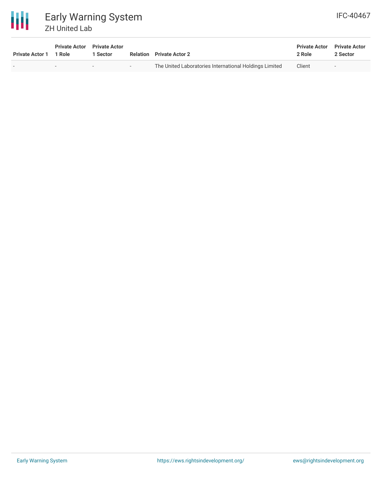

| Private Actor 1 1 Role | <b>Private Actor</b> Private Actor | 1 Sector |        | <b>Relation</b> Private Actor 2                        | <b>Private Actor</b> Private Actor<br>2 Role | 2 Sector       |
|------------------------|------------------------------------|----------|--------|--------------------------------------------------------|----------------------------------------------|----------------|
|                        | $\overline{\phantom{a}}$           |          | $\sim$ | The United Laboratories International Holdings Limited | Client                                       | $\overline{a}$ |